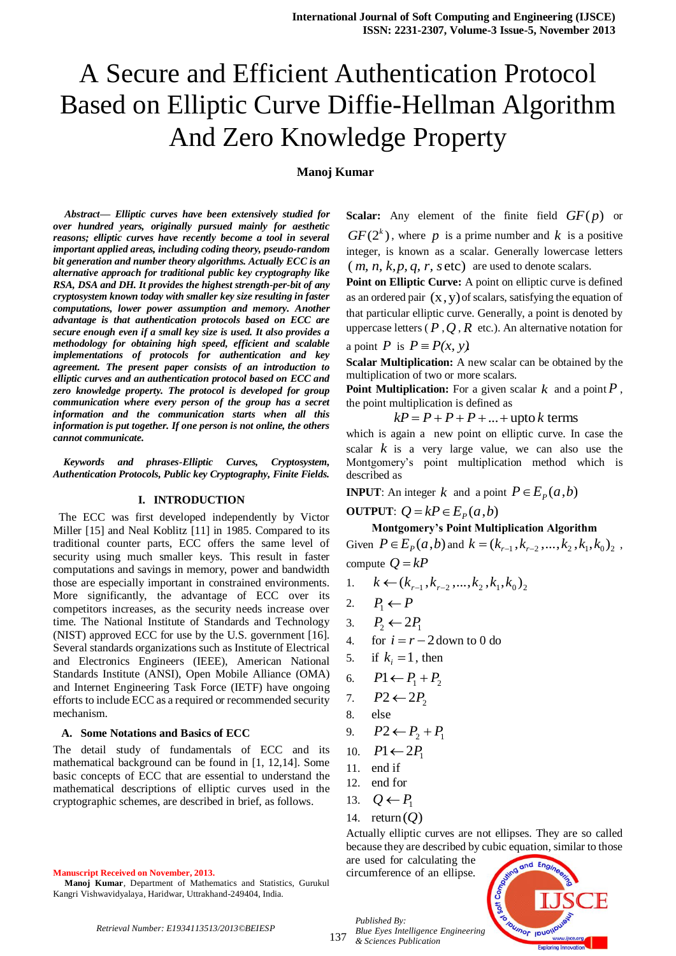# A Secure and Efficient Authentication Protocol Based on Elliptic Curve Diffie-Hellman Algorithm And Zero Knowledge Property

## **Manoj Kumar**

*Abstract***—** *Elliptic curves have been extensively studied for over hundred years, originally pursued mainly for aesthetic reasons; elliptic curves have recently become a tool in several important applied areas, including coding theory, pseudo-random bit generation and number theory algorithms. Actually ECC is an alternative approach for traditional public key cryptography like RSA, DSA and DH. It provides the highest strength-per-bit of any cryptosystem known today with smaller key size resulting in faster computations, lower power assumption and memory. Another advantage is that authentication protocols based on ECC are secure enough even if a small key size is used. It also provides a methodology for obtaining high speed, efficient and scalable implementations of protocols for authentication and key agreement. The present paper consists of an introduction to elliptic curves and an authentication protocol based on ECC and zero knowledge property. The protocol is developed for group communication where every person of the group has a secret information and the communication starts when all this information is put together. If one person is not online, the others cannot communicate.*

*Keywords and phrases-Elliptic Curves, Cryptosystem, Authentication Protocols, Public key Cryptography, Finite Fields.*

#### **I. INTRODUCTION**

 The ECC was first developed independently by Victor Miller [15] and Neal Koblitz [11] in 1985. Compared to its traditional counter parts, ECC offers the same level of security using much smaller keys. This result in faster computations and savings in memory, power and bandwidth those are especially important in constrained environments. More significantly, the advantage of ECC over its competitors increases, as the security needs increase over time. The National Institute of Standards and Technology (NIST) approved ECC for use by the U.S. government [16]. Several standards organizations such as Institute of Electrical and Electronics Engineers (IEEE), American National Standards Institute (ANSI), Open Mobile Alliance (OMA) and Internet Engineering Task Force (IETF) have ongoing efforts to include ECC as a required or recommended security mechanism.

#### **A. Some Notations and Basics of ECC**

The detail study of fundamentals of ECC and its mathematical background can be found in [1, 12,14]. Some basic concepts of ECC that are essential to understand the mathematical descriptions of elliptic curves used in the cryptographic schemes, are described in brief, as follows.

**Manuscript Received on November, 2013.**

**Scalar:** Any element of the finite field  $GF(p)$  or  $GF(2<sup>k</sup>)$ , where p is a prime number and k is a positive integer, is known as a scalar. Generally lowercase letters  $(m, n, k, p, q, r, \text{setc})$  are used to denote scalars.

**Point on Elliptic Curve:** A point on elliptic curve is defined as an ordered pair  $(x, y)$  of scalars, satisfying the equation of that particular elliptic curve. Generally, a point is denoted by uppercase letters ( $P$ , $Q$ , $R$  etc.). An alternative notation for a point *P* is  $P = P(x, y)$ .

**Scalar Multiplication:** A new scalar can be obtained by the multiplication of two or more scalars.

**Point Multiplication:** For a given scalar  $k$  and a point  $P$ , the point multiplication is defined as

 $kP = P + P + P + ... +$ upto *k* terms

which is again a new point on elliptic curve. In case the scalar  $k$  is a very large value, we can also use the Montgomery's point multiplication method which is described as

**INPUT**: An integer  $k$  and a point  $P \in E_p(a,b)$ 

## **OUTPUT**:  $Q = kP \in E_p(a, b)$

**Montgomery's Point Multiplication Algorithm** Given  $P \in E_p(a, b)$  and  $k = (k_{r-1}, k_{r-2}, ..., k_2, k_1, k_0)_2$ ,

compute  $Q = kP$ 

- 1.  $k \leftarrow (k_{r-1}, k_{r-2}, ..., k_2, k_1, k_0)_2$
- 2.  $P_1 \leftarrow P$
- 3.  $P_2 \leftarrow 2P_1$
- 4. for  $i = r 2$  down to 0 do
- 5. if  $k_i = 1$ , then
- 6.  $P1 \leftarrow P_1 + P_2$
- 7.  $P2 \leftarrow 2P$ <sub>2</sub>
- 8. else

9. 
$$
P2 \leftarrow P_2 + P_1
$$

- 10.  $P1 \leftarrow 2P_1$
- 11. end if
- 12. end for
- 13.  $Q \leftarrow P_1$
- 14. return (*Q*)

*Published By:*

Actually elliptic curves are not ellipses. They are so called because they are described by cubic equation, similar to those

are used for calculating the circumference of an ellipse.



*Retrieval Number: E1934113513/2013©BEIESP*

**Manoj Kumar**, Department of Mathematics and Statistics, Gurukul Kangri Vishwavidyalaya, Haridwar, Uttrakhand-249404, India.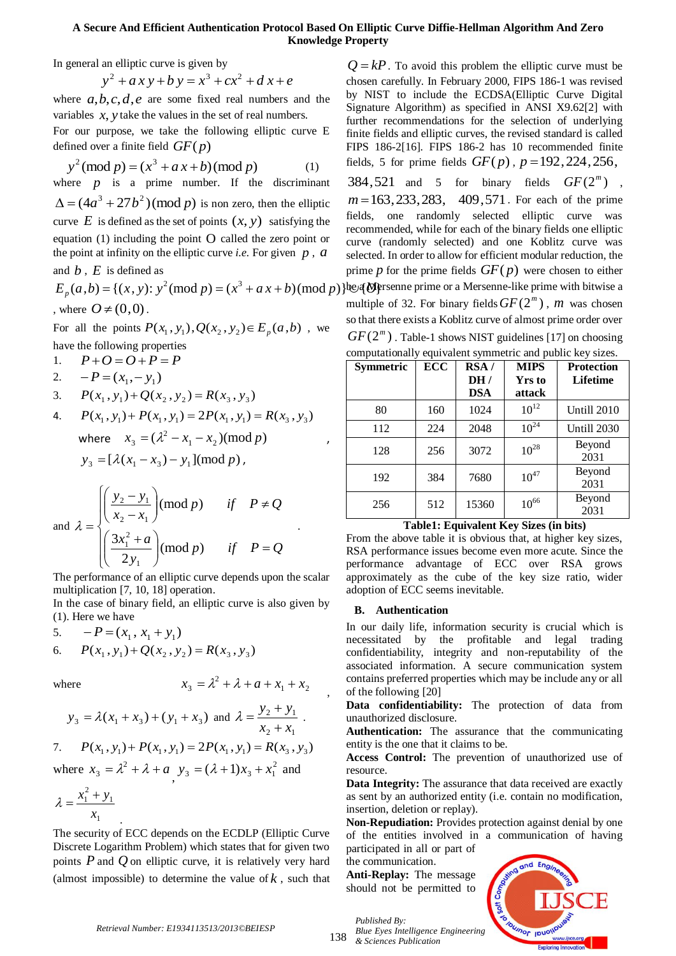## **A Secure And Efficient Authentication Protocol Based On Elliptic Curve Diffie-Hellman Algorithm And Zero Knowledge Property**

In general an elliptic curve is given by

$$
y^2 + ax y + b y = x^3 + cx^2 + d x + e
$$

where  $a, b, c, d, e$  are some fixed real numbers and the variables  $x$ ,  $y$  take the values in the set of real numbers.

For our purpose, we take the following elliptic curve E defined over a finite field *GF*( *p*)

$$
y^{2} \text{(mod } p) = (x^{3} + a x + b) \text{(mod } p)
$$
 (1)

where  $p$  is a prime number. If the discriminant  $\Delta = (4a^3 + 27b^2)$  (mod p) is non zero, then the elliptic curve  $E$  is defined as the set of points  $(x, y)$  satisfying the equation (1) including the point O called the zero point or the point at infinity on the elliptic curve *i.e.* For given  $p$ ,  $a$ 

## and  $b$ ,  $E$  is defined as

, where  $O \neq (0,0)$ .

For all the points  $P(x_1, y_1), Q(x_2, y_2) \in E_p(a, b)$ , we have the following properties

$$
1. \qquad P + O = O + P = P
$$

2.  $-P = (x_1, -y_1)$ 

3.  $P(x_1, y_1) + Q(x_2, y_2) = R(x_3, y_3)$ 

4.  $P(x_1, y_1) + P(x_1, y_1) = 2P(x_1, y_1) = R(x_3, y_3)$ where  $x_3 = (\lambda^2 - x_1 - x_2) \pmod{p}$ ,  $y_3 = [\lambda (x_1 - x_3) - y_1] \pmod{p}$ ,

and 
$$
\lambda = \begin{cases} \left(\frac{y_2 - y_1}{x_2 - x_1}\right) \pmod{p} & \text{if } P \neq Q \\ \left(\frac{3x_1^2 + a}{2y_1}\right) \pmod{p} & \text{if } P = Q \end{cases}
$$
.

The performance of an elliptic curve depends upon the scalar multiplication [7, 10, 18] operation.

In the case of binary field, an elliptic curve is also given by (1). Here we have

5. 
$$
-P = (x_1, x_1 + y_1)
$$
  
6. 
$$
P(x_1, y_1) + Q(x_2, y_2) = R(x_3, y_3)
$$

where

$$
x_3 = \lambda^2 + \lambda + a + x_1 + x_2
$$

$$
y_3 = \lambda(x_1 + x_3) + (y_1 + x_3)
$$
 and  $\lambda = \frac{y_2 + y_1}{x_2 + x_1}$ .  
7.  $P(x_1, y_1) + P(x_1, y_1) = 2P(x_1, y_1) = R(x_3, y_3)$ 

where  $x_3 = \lambda^2 + \lambda + a$  $3 - \lambda + \lambda + u$ , 2  $y_3 = (\lambda + 1)x_3 + x_1^2$  and

$$
\lambda = \frac{x_1^2 + y_1}{x_1}.
$$

The security of ECC depends on the ECDLP (Elliptic Curve Discrete Logarithm Problem) which states that for given two points  $P$  and  $Q$  on elliptic curve, it is relatively very hard (almost impossible) to determine the value of  $k$ , such that

 $Q = kP$ . To avoid this problem the elliptic curve must be chosen carefully. In February 2000, FIPS 186-1 was revised by NIST to include the ECDSA(Elliptic Curve Digital Signature Algorithm) as specified in ANSI X9.62[2] with further recommendations for the selection of underlying finite fields and elliptic curves, the revised standard is called FIPS 186-2[16]. FIPS 186-2 has 10 recommended finite fields, 5 for prime fields  $GF(p)$ ,  $p = 192, 224, 256$ ,

 $E_p(a,b) = \{(x, y): y^2 \text{ (mod } p) = (x^3 + a x + b) \text{ (mod } p)\}$ be a Mersenne prime or a Mersenne-like prime with bitwise a 384,521 and 5 for binary fields  $GF(2^m)$ , *m* = 163, 233, 283, 409, 571. For each of the prime fields, one randomly selected elliptic curve was recommended, while for each of the binary fields one elliptic curve (randomly selected) and one Koblitz curve was selected. In order to allow for efficient modular reduction, the prime  $p$  for the prime fields  $GF(p)$  were chosen to either multiple of 32. For binary fields  $GF(2<sup>m</sup>)$ , *m* was chosen so that there exists a Koblitz curve of almost prime order over  $GF(2<sup>m</sup>)$ . Table-1 shows NIST guidelines [17] on choosing computationally equivalent symmetric and public key sizes.

| <b>Symmetric</b> | <b>ECC</b> | RSA/       | <b>MIPS</b> | <b>Protection</b> |
|------------------|------------|------------|-------------|-------------------|
|                  |            | DH/        | Yrs to      | <b>Lifetime</b>   |
|                  |            | <b>DSA</b> | attack      |                   |
| 80               | 160        | 1024       | $10^{12}$   | Untill 2010       |
| 112              | 224        | 2048       | $10^{24}$   | Untill 2030       |
| 128              | 256        | 3072       | $10^{28}$   | Beyond            |
|                  |            |            |             | 2031              |
| 192              | 384        | 7680       | $10^{47}$   | Beyond            |
|                  |            |            |             | 2031              |
| 256              | 512        | 15360      | $10^{66}$   | Beyond            |
|                  |            |            |             | 2031              |

## **Table1: Equivalent Key Sizes (in bits)**

From the above table it is obvious that, at higher key sizes, RSA performance issues become even more acute. Since the performance advantage of ECC over RSA grows approximately as the cube of the key size ratio, wider adoption of ECC seems inevitable.

## **B. Authentication**

In our daily life, information security is crucial which is necessitated by the profitable and legal trading confidentiability, integrity and non-reputability of the associated information. A secure communication system contains preferred properties which may be include any or all of the following [20]

**Data confidentiability:** The protection of data from unauthorized disclosure.

**Authentication:** The assurance that the communicating entity is the one that it claims to be.

**Access Control:** The prevention of unauthorized use of resource.

**Data Integrity:** The assurance that data received are exactly as sent by an authorized entity (i.e. contain no modification, insertion, deletion or replay).

**Non-Repudiation:** Provides protection against denial by one of the entities involved in a communication of having

participated in all or part of the communication.

**Anti-Replay:** The message should not be permitted to



138 *& Sciences Publication* 

,

*Published By:*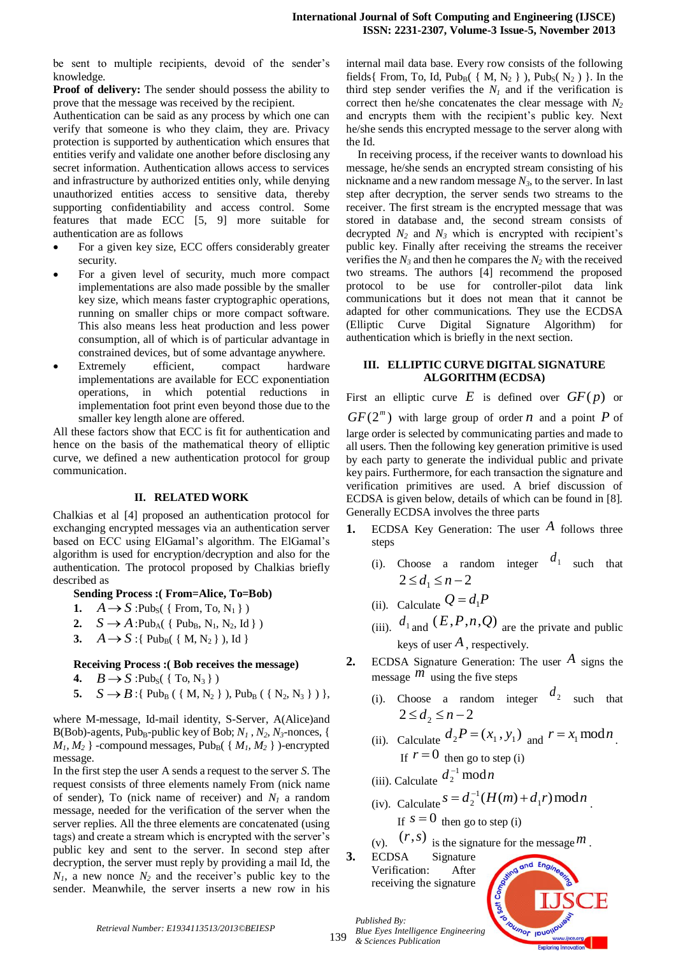be sent to multiple recipients, devoid of the sender's knowledge.

**Proof of delivery:** The sender should possess the ability to prove that the message was received by the recipient.

Authentication can be said as any process by which one can verify that someone is who they claim, they are. Privacy protection is supported by authentication which ensures that entities verify and validate one another before disclosing any secret information. Authentication allows access to services and infrastructure by authorized entities only, while denying unauthorized entities access to sensitive data, thereby supporting confidentiability and access control. Some features that made ECC [5, 9] more suitable for authentication are as follows

- For a given key size, ECC offers considerably greater security.
- For a given level of security, much more compact implementations are also made possible by the smaller key size, which means faster cryptographic operations, running on smaller chips or more compact software. This also means less heat production and less power consumption, all of which is of particular advantage in constrained devices, but of some advantage anywhere.
- Extremely efficient, compact hardware implementations are available for ECC exponentiation operations, in which potential reductions in implementation foot print even beyond those due to the smaller key length alone are offered.

All these factors show that ECC is fit for authentication and hence on the basis of the mathematical theory of elliptic curve, we defined a new authentication protocol for group communication.

## **II. RELATED WORK**

Chalkias et al [4] proposed an authentication protocol for exchanging encrypted messages via an authentication server based on ECC using ElGamal's algorithm. The ElGamal's algorithm is used for encryption/decryption and also for the authentication. The protocol proposed by Chalkias briefly described as

**Sending Process :( From=Alice, To=Bob)**

- **1.**  $A \rightarrow S$  :Pub<sub>S</sub>({From, To, N<sub>1</sub>})
- **2.**  $S \to A$ :Pub<sub>A</sub>({ Pub<sub>B</sub>, N<sub>1</sub>, N<sub>2</sub>, Id})
- **3.**  $A \rightarrow S$  :{ Pub<sub>B</sub>({ M, N<sub>2</sub>}), Id}

## **Receiving Process :( Bob receives the message)**

- **4.**  $B \rightarrow S$  :Pub<sub>S</sub>({To, N<sub>3</sub>})
- **5.**  $S \to B$ :{ Pub<sub>B</sub> ( { M, N<sub>2</sub> } ), Pub<sub>B</sub> ( { N<sub>2</sub>, N<sub>3</sub> } ) },

where M-message, Id-mail identity, S-Server, A(Alice)and B(Bob)-agents, Pub<sub>B</sub>-public key of Bob;  $N_1$ ,  $N_2$ ,  $N_3$ -nonces, {  $M_1, M_2$  } -compound messages, Pub<sub>B</sub>( $\{M_1, M_2\}$ )-encrypted message.

In the first step the user A sends a request to the server *S*. The request consists of three elements namely From (nick name of sender), To (nick name of receiver) and  $N<sub>1</sub>$  a random message, needed for the verification of the server when the server replies. All the three elements are concatenated (using tags) and create a stream which is encrypted with the server's public key and sent to the server. In second step after decryption, the server must reply by providing a mail Id, the  $N_1$ , a new nonce  $N_2$  and the receiver's public key to the sender. Meanwhile, the server inserts a new row in his internal mail data base. Every row consists of the following fields { From, To, Id, Pub<sub>B</sub>( { M, N<sub>2</sub> } ), Pub<sub>S</sub>( N<sub>2</sub>) }. In the third step sender verifies the  $N_I$  and if the verification is correct then he/she concatenates the clear message with *N<sup>2</sup>* and encrypts them with the recipient's public key. Next he/she sends this encrypted message to the server along with the Id.

In receiving process, if the receiver wants to download his message, he/she sends an encrypted stream consisting of his nickname and a new random message *N3*, to the server. In last step after decryption, the server sends two streams to the receiver. The first stream is the encrypted message that was stored in database and, the second stream consists of decrypted  $N_2$  and  $N_3$  which is encrypted with recipient's public key. Finally after receiving the streams the receiver verifies the  $N_3$  and then he compares the  $N_2$  with the received two streams. The authors [4] recommend the proposed protocol to be use for controller-pilot data link communications but it does not mean that it cannot be adapted for other communications. They use the ECDSA (Elliptic Curve Digital Signature Algorithm) for authentication which is briefly in the next section.

## **III. ELLIPTIC CURVE DIGITAL SIGNATURE ALGORITHM (ECDSA)**

First an elliptic curve  $E$  is defined over  $GF(p)$  or  $GF(2<sup>m</sup>)$  with large group of order *n* and a point *P* of large order is selected by communicating parties and made to all users. Then the following key generation primitive is used by each party to generate the individual public and private key pairs. Furthermore, for each transaction the signature and verification primitives are used. A brief discussion of ECDSA is given below, details of which can be found in [8]. Generally ECDSA involves the three parts

- **1.** ECDSA Key Generation: The user *A* follows three steps
	- (i). Choose a random integer  $d_1$  such that  $2 \le d_1 \le n-2$
	- (ii). Calculate  $Q = d_1 P$
	- (iii).  $d_{1}$  and  $(E, P, n, Q)$  are the private and public keys of user *A* , respectively.
- **2.** ECDSA Signature Generation: The user *A* signs the message  $\overline{m}$  using the five steps
	- (i). Choose a random integer  $d_2$  such that  $2 \le d_2 \le n - 2$
	- (ii). Calculate  $d_2P = (x_1, y_1)$  and  $r = x_1 \mod n$ . If  $r = 0$  then go to step (i)
	- (iii). Calculate  $d_2^{-1} \mod n$ 2  $\overline{a}$
	- (iv). Calculate  $s = d_2^{-1}(H(m) + d_1 r) \bmod n$ . If  $s = 0$  then go to step (i)

(v).  $(r, s)$  is the signature for the message  $m$ .

**3.** ECDSA Signature Verification: After receiving the signature

*Published By:*



*Retrieval Number: E1934113513/2013©BEIESP*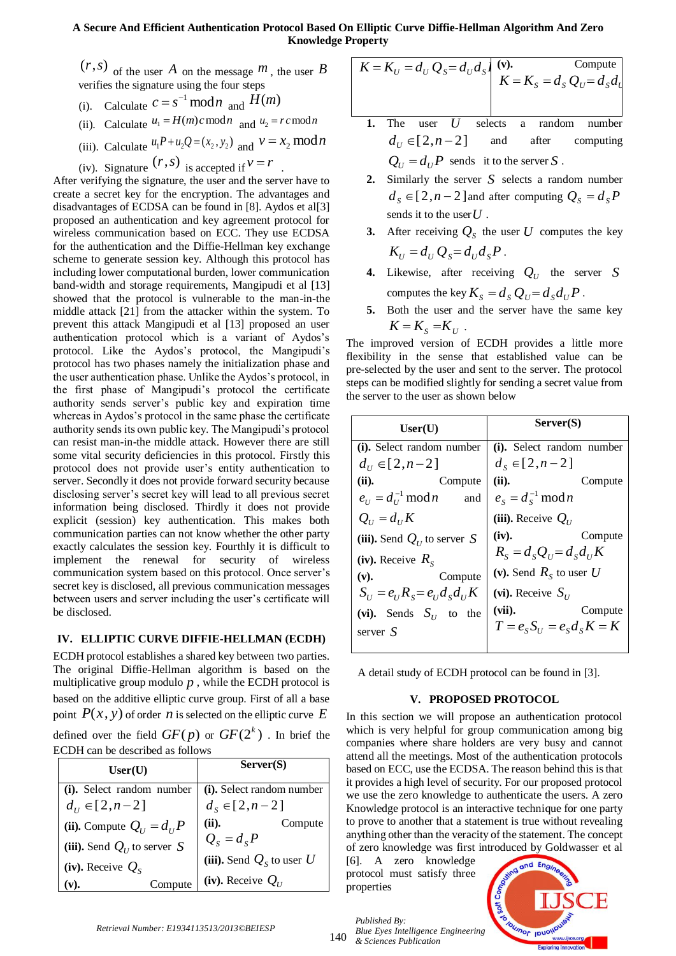## **A Secure And Efficient Authentication Protocol Based On Elliptic Curve Diffie-Hellman Algorithm And Zero Knowledge Property**

of the user  $\hat{A}$  on the message  $\hat{m}$ , the user  $\hat{B}$ verifies the signature using the four steps

- (i). Calculate  $c = s^{-1} \mod n$  and  $H(m)$
- (ii). Calculate  $u_1 = H(m)c \mod n$  and  $u_2 = rc \mod n$
- (iii). Calculate  $u_1 P + u_2 Q = (x_2, y_2)$  and  $v = x_2 \mod n$

(iv). Signature  $(r, s)$  is accepted if  $v = r$ . After verifying the signature, the user and the server have to

(*r*,*s*) of the user *A* on the message *m*,<br>
verifies the signature using the four steps<br>
(ii). Calculate  $C = s^{-1} \mod n$  and  $H(m)$ <br>
(iii). Calculate  $u_1 + H(m) \mod n$  and  $u_2$ <br>
(iii). Calculate  $u_1 + H(u_2) = (x_1, y_2)$  and  $v =$ <br> create a secret key for the encryption. The advantages and disadvantages of ECDSA can be found in [8]. Aydos et al[3] proposed an authentication and key agreement protocol for wireless communication based on ECC. They use ECDSA for the authentication and the Diffie-Hellman key exchange scheme to generate session key. Although this protocol has including lower computational burden, lower communication band-width and storage requirements, Mangipudi et al [13] showed that the protocol is vulnerable to the man-in-the middle attack [21] from the attacker within the system. To prevent this attack Mangipudi et al [13] proposed an user authentication protocol which is a variant of Aydos's protocol. Like the Aydos's protocol, the Mangipudi's protocol has two phases namely the initialization phase and the user authentication phase. Unlike the Aydos's protocol, in the first phase of Mangipudi's protocol the certificate authority sends server's public key and expiration time whereas in Aydos's protocol in the same phase the certificate authority sends its own public key. The Mangipudi's protocol can resist man-in-the middle attack. However there are still some vital security deficiencies in this protocol. Firstly this protocol does not provide user's entity authentication to server. Secondly it does not provide forward security because disclosing server's secret key will lead to all previous secret information being disclosed. Thirdly it does not provide explicit (session) key authentication. This makes both communication parties can not know whether the other party exactly calculates the session key. Fourthly it is difficult to implement the renewal for security of wireless communication system based on this protocol. Once server's secret key is disclosed, all previous communication messages between users and server including the user's certificate will be disclosed.

## **IV. ELLIPTIC CURVE DIFFIE-HELLMAN (ECDH)**

ECDH protocol establishes a shared key between two parties. The original Diffie-Hellman algorithm is based on the multiplicative group modulo  $p$ , while the ECDH protocol is based on the additive elliptic curve group. First of all a base point  $P(x, y)$  of order *n* is selected on the elliptic curve E

defined over the field  $GF(p)$  or  $GF(2^k)$  . In brief the ECDH can be described as follows

| User(U)                       | Server(S)                   |  |
|-------------------------------|-----------------------------|--|
| (i). Select random number     | (i). Select random number   |  |
| $d_{1} \in [2, n-2]$          | $d_s \in [2, n-2]$          |  |
| (ii). Compute $Q_U = d_U P$   | (ii).<br>Compute            |  |
| (iii). Send $Q_U$ to server S | $Q_{s} = d_{s}P$            |  |
| (iv). Receive $Q_s$           | (iii). Send $Q_s$ to user U |  |
| Compute<br>v).                | (iv). Receive $Q_U$         |  |

$$
K = K_U = d_U Q_S = d_U d_S
$$
\n
$$
K = K_S = d_S Q_U = d_S d_U
$$
\nCompute

\n
$$
K = K_S = d_S Q_U
$$

- **1.** The user *U* selects a random number  $d_U \in [2, n-2]$ and after computing  $Q_U = d_U P$  sends it to the server *S*.
- 2. Similarly the server  $S$  selects a random number  $d_s \in [2, n-2]$  and after computing  $Q_s = d_s P$ sends it to the user *U* .
- **3.** After receiving  $Q<sub>S</sub>$  the user U computes the key  $K_U = d_U Q_S = d_U d_S P$ .
- **4.** Likewise, after receiving  $Q_U$  the server S computes the key  $K_S = d_S Q_U = d_S d_U P$ .
- **5.** Both the user and the server have the same key  $K = K<sub>S</sub> = K<sub>U</sub>$ .

The improved version of ECDH provides a little more flexibility in the sense that established value can be pre-selected by the user and sent to the server. The protocol steps can be modified slightly for sending a secret value from the server to the user as shown below

| User(U)                                                   | Server(S)                                 |  |
|-----------------------------------------------------------|-------------------------------------------|--|
| (i). Select random number                                 | (i). Select random number                 |  |
| $d_{\scriptscriptstyle H} \in [2, n-2]$                   | $d_{s} \in [2, n-2]$                      |  |
| (ii).<br>Compute                                          | (ii).<br>Compute                          |  |
| $e_U = d_U^{-1} \bmod n$ and                              | $e_s = d_s^{-1} \bmod n$                  |  |
| $Q_{\scriptscriptstyle II} = d_{\scriptscriptstyle II} K$ | (iii). Receive $Q_{\scriptscriptstyle U}$ |  |
| (iii). Send $Q_U$ to server S                             | (iv).<br>Compute                          |  |
| (iv). Receive $R_s$                                       | $R_s = d_s Q_u = d_s d_u K$               |  |
| (v).<br>Compute                                           | (v). Send $R_s$ to user U                 |  |
| $S_{U} = e_{U} R_{S} = e_{U} d_{S} d_{U} K$               | (vi). Receive $S_{\scriptscriptstyle U}$  |  |
| (vi). Sends $S_{U}$ to the                                | $(vii)$ .<br>Compute                      |  |
| server S                                                  | $T = eSSU = eSdSK = K$                    |  |
|                                                           |                                           |  |

A detail study of ECDH protocol can be found in [3].

## **V. PROPOSED PROTOCOL**

In this section we will propose an authentication protocol which is very helpful for group communication among big companies where share holders are very busy and cannot attend all the meetings. Most of the authentication protocols based on ECC, use the ECDSA. The reason behind this is that it provides a high level of security. For our proposed protocol we use the zero knowledge to authenticate the users. A zero Knowledge protocol is an interactive technique for one party to prove to another that a statement is true without revealing anything other than the veracity of the statement. The concept of zero knowledge was first introduced by Goldwasser et al

[6]. A zero knowledge protocol must satisfy three properties

*Published By:*

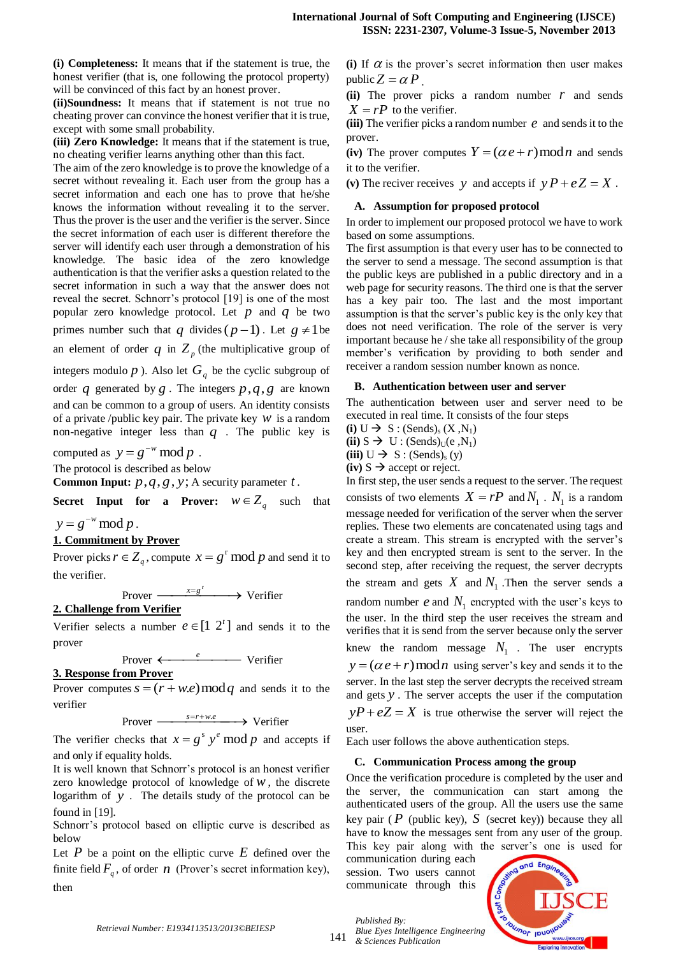**(i) Completeness:** It means that if the statement is true, the honest verifier (that is, one following the protocol property) will be convinced of this fact by an honest prover.

**(ii)Soundness:** It means that if statement is not true no cheating prover can convince the honest verifier that it is true, except with some small probability.

**(iii) Zero Knowledge:** It means that if the statement is true, no cheating verifier learns anything other than this fact.

The aim of the zero knowledge is to prove the knowledge of a secret without revealing it. Each user from the group has a secret information and each one has to prove that he/she knows the information without revealing it to the server. Thus the prover is the user and the verifier is the server. Since the secret information of each user is different therefore the server will identify each user through a demonstration of his knowledge. The basic idea of the zero knowledge authentication is that the verifier asks a question related to the secret information in such a way that the answer does not reveal the secret. Schnorr's protocol [19] is one of the most popular zero knowledge protocol. Let  $p$  and  $q$  be two primes number such that q divides  $(p-1)$ . Let  $g \neq 1$  be an element of order  $q$  in  $Z_p$  (the multiplicative group of integers modulo  $p$ ). Also let  $G_q$  be the cyclic subgroup of

order q generated by  $g$ . The integers  $p$ ,  $q$ ,  $g$  are known and can be common to a group of users. An identity consists of a private /public key pair. The private key *w* is a random non-negative integer less than  $q$ . The public key is

computed as  $y = g^{-w} \bmod p$ .

The protocol is described as below

**Common Input:**  $p, q, g, y$ ; A security parameter  $t$ .

**Secret Input for a Prover:**  $w \in Z_q$  such that

 $y = g^{-w} \bmod p$ .

## **1. Commitment by Prover**

Prover picks  $r \in Z_q$ , compute  $x = g^r \mod p$  and send it to the verifier.

Prover  $\xrightarrow{x=g^r}$  Verifier

## **2. Challenge from Verifier**

Verifier selects a number  $e \in [1 \ 2^t]$  and sends it to the prover

Prover 
e Verifier

## **3. Response from Prover**

Prover computes  $s = (r + w.e) \mod q$  and sends it to the verifier

Prover  $\xrightarrow{s=r+w,e}$  Verifier

The verifier checks that  $x = g^s y^e \mod p$  and accepts if and only if equality holds.

It is well known that Schnorr's protocol is an honest verifier zero knowledge protocol of knowledge of  $w$ , the discrete logarithm of *y* . The details study of the protocol can be found in [19].

Schnorr's protocol based on elliptic curve is described as below

Let  $P$  be a point on the elliptic curve  $E$  defined over the finite field  $F_q$ , of order *n* (Prover's secret information key), then

(i) If  $\alpha$  is the prover's secret information then user makes public  $Z = \alpha P$ .

(ii) The prover picks a random number  $r$  and sends  $X = rP$  to the verifier.

(iii) The verifier picks a random number  $e$  and sends it to the prover.

(iv) The prover computes  $Y = (\alpha e + r) \mod n$  and sends it to the verifier.

(v) The reciver receives y and accepts if  $yP + eZ = X$ .

#### **A. Assumption for proposed protocol**

In order to implement our proposed protocol we have to work based on some assumptions.

The first assumption is that every user has to be connected to the server to send a message. The second assumption is that the public keys are published in a public directory and in a web page for security reasons. The third one is that the server has a key pair too. The last and the most important assumption is that the server's public key is the only key that does not need verification. The role of the server is very important because he / she take all responsibility of the group member's verification by providing to both sender and receiver a random session number known as nonce.

#### **B. Authentication between user and server**

The authentication between user and server need to be executed in real time. It consists of the four steps

(i)  $U \rightarrow S$  : (Sends)<sub>s</sub> (X,N<sub>1</sub>)

 $(iii)$  S  $\rightarrow$  U : (Sends)<sub>U</sub>(e, N<sub>1</sub>)

 $(iii) U \rightarrow S : (Sends)_{s}(y)$  $(iv)$  S  $\rightarrow$  accept or reject.

In first step, the user sends a request to the server. The request consists of two elements  $X = rP$  and  $N_1$ .  $N_1$  is a random message needed for verification of the server when the server replies. These two elements are concatenated using tags and create a stream. This stream is encrypted with the server's key and then encrypted stream is sent to the server. In the second step, after receiving the request, the server decrypts the stream and gets  $X$  and  $N_1$ . Then the server sends a random number  $e$  and  $N_1$  encrypted with the user's keys to the user. In the third step the user receives the stream and verifies that it is send from the server because only the server knew the random message  $N_1$ . The user encrypts  $y = (\alpha e + r) \mod n$  using server's key and sends it to the server. In the last step the server decrypts the received stream and gets *y* . The server accepts the user if the computation  $yP + eZ = X$  is true otherwise the server will reject the user.

Each user follows the above authentication steps.

#### **C. Communication Process among the group**

Once the verification procedure is completed by the user and the server, the communication can start among the authenticated users of the group. All the users use the same key pair  $(P$  (public key),  $S$  (secret key)) because they all have to know the messages sent from any user of the group. This key pair along with the server's one is used for

communication during each session. Two users cannot communicate through this



141 *& Sciences Publication* 

*Published By:*